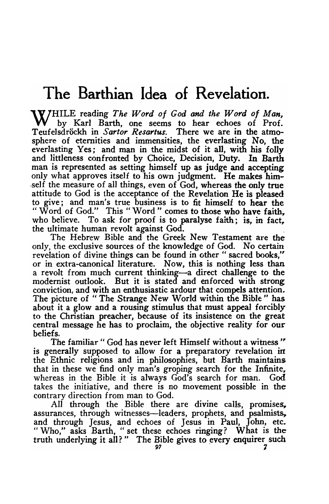## **The Barthian Idea of Revelation.**

WHILE reading *The Word of God and the Word of Man,*  by Karl Barth, one seems to hear echoes of Prof. TV by Karl Barth, one seems to hear echoes of Prof.<br>cufologically in *Santon Researtus*. There we are in the atmoeure survex in Sartor Resartus. There we are in the atmo-<br>here of eternities and immensities, the everlasting No, the sphere of eternities and immensities, the everlasting No, the everlasting Yes; and man in the midst of it all, with his folly eriasting res; and man in the midst of it all, with his folly man is represented as setting bimself up as judge and accepting man is represented as setting himself up as judge and accepting only what approves itself to his own judgment. He makes himly what approves itself to his own judgment. He makes him-If the measure of all things, even of God, whereas the only true<br>titude to God is the acceptance of the Perselation He is pleased attitude to God is the acceptance of the Revelation He is pleased to give; and man's true business is to fit himself to hear the give; and man's true business is to ht himself to hear the<br>Word of God." This "Word." comes to those who have faith word of  $\overline{U}$  believe. This word comes to those who have faith,  $\overline{V}$ who believe. To ask for proof is to paralyse faith; is, in fact, the ultimate human revolt against God.

The Hebrew Bible and the Greek New Testament are the I ne ment while and the Greek New Testament are the revelation of divine things can be found in other " sacred books," revelation of divine things can be found in other "sacred books," or in extra-canonical literature. Now, this is nothing less than a revolt from much current thinking—a direct challenge to the modernist outlook. But it is stated and enforced with strong conviction, and with an enthusiastic ardour that compels attention. nviction, and with an enthusiastic ardour that compels attention.<br>he picture of " The Strange New World within the Bible" has ne picture of the Strange New World Within the Bible has about it a glow and a rousing stimulus that must appeal forcibly to the Christian preacher, because of its insistence on the great central message he has to proclaim, the objective reality for our beliefs. .<br>Le familiar " God has never left Himself without a witness."

I he familiar "God has never left Himself without a witness" is generally supposed to allow for a preparatory revelation in the Ethnic religions and in philosophies, but Barth maintains that in these we find only man's groping search for the Infinite, whereas in the Bible it is always God's search for man. God takes the initiative, and there is no movement possible in the contrary direction from man to God. ry direction from man to God.<br>If there is a Bible there are divine calls, promises

All infough the Bible there are divine calls, promises, assurances, through witnesses—leaders, prophets, and psalmists, d through Jesus, and echoes of Jesus in Paul, John, etc.<br>What is the Barth, "set these echoes ringing? What is the Who, asks Barth, set these echoes ringing! What is the truth underlying it all?" The Bible gives to every enquirer such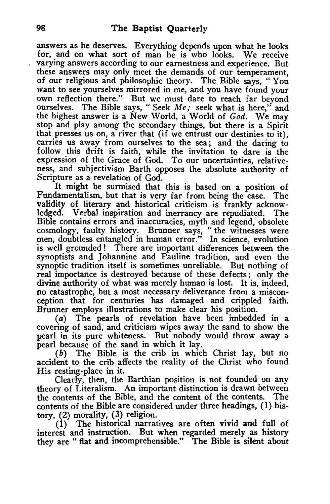answers as he deserves. Everything depends upon what he looks for, and on what sort of man he is who looks. We receive varying answers according to our earnestness and experience. But these answers may only meet the demands of our temperament, of our religious and philosophic theory. The Bible says, " You want to see yourselves mirrored in me, and you have found your own reflection there." But we must dare to reach far beyond ourselves. The Bible says, "Seek *Me*; seek what is here," and the highest answer is a New World, a World of *God.* We may stop and play among the secondary things, but there is a Spirit that presses us on, a river that (if we entrust our destinies to it), carries us away from ourselves to the sea; and the daring to follow this drift is faith, while the invitation to dare is the expression of the Grace of God. To our uncertainties, relativeness, and SUbjectivism Barth opposes the absolute authority of Scripture as a revelation of God.

It might be surmised that this is based on a position of Fundamentalism, but that is very far from being the case. The validity of literary and historical criticism is frankly acknowledged. Verbal inspiration and inerrancy are repudiated. The Bible contains errors and inaccuracies, myth and legend, obsolete cosmology, faulty history. Brunner says, "the witnesses were men, doubtless entangled in human error." In science, evolution is well grounded! There are important differences between the synoptists and Johannine and Pauline tradition, and even the synoptic tradition itself is sometimes unreliable. But nothing of real importance is destroyed because of these defects; only the divine authority of what was merely human is lost. It is, indeed, no catastrophe, but a most necessary deliverance from a misconception that for centuries has damaged and crippled faith. Brunner employs illustrations to make clear his position.

(a) The pearls of revelation have been imbedded in a covering of sand, and criticism wipes away the sand to show the pearl in its pure whiteness. But nobody would throw away a pearl because of the sand in which it lay.

*(b)* The Bible is the crib in which Christ lay, but no accident to the crib affects the reality of the Christ who found His resting-place in it.

Clearly, then, the Barthian position is not founded on any theory of Literalism. An important distinction is drawn between the contents of the Bible, and the content of the contents. The contents of the Bible are considered under three headings, (1) history, (2) morality, (3) religion.

(1) The historical narratives are often vivid and full of nterest and instruction. But when regarded merely as history they are" flat and incomprehensible." The Bible is silent about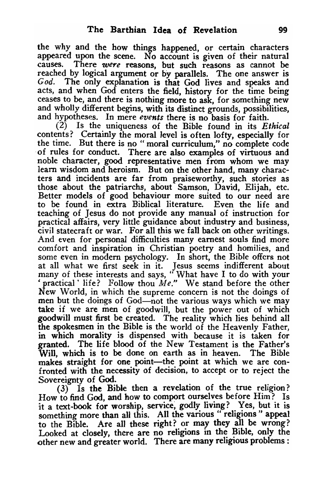the why and the how things happened, or certain characters appeared upon the scene. No account is given of their natural causes. There *were* reasons, but such reasons as cannot be reached by logical argument or by parallels. The one answer is *God.* The only explanation is that God lives and speaks and acts, and when God enters the field, history for the time being ceases to be, and there is nothing more to ask, for something new and wholly different begins, with its distinct grounds, possibilities, and hypotheses. In mere *events* there is no basis for faith.

(2) Is the uniqueness of the Bible found in its *Ethical*  contents? Certainly the moral level is often lofty, especially for the time. But there is no " moral curriculum," no complete code of rules for conduct. There are also examples of virtuous and noble character, good representative men from whom we may learn wisdom and heroism. But on the other hand, many characters and incidents are far from praiseworthy, such stories as those about the patriarchs, about Samson, David, Elijah, etc. Better models of good behaviour more suited to our need are to be found in extra Biblical literature. Even the life and teaching of Jesus do not provide any manual of instruction for practical affairs, very little guidance about industry and business, civil statecraft or war. For all this we fall back on other writings. And even for personal difficulties many earnest souls find more comfort and inspiration in Christian poetry and homilies, and some even in modern psychology. In short, the Bible offers not at all what we first seek in it. Jesus seems indifferent about many of these interests and says, "What have I to do with your practical' life? Follow thou *Me.*" We stand before the other 'practical' life? Follow thou  $Me$ ." We stand before the other<br>New World, in which the supreme concern is not the doings of men but the doings of God—not the various ways which we may take if we are men of goodwill, but the power out of which goodwill must first be created. The reality which lies behind all the spokesmen in the Bible is the world of the Heavenly Father, in which morality is dispensed with because it is taken for granted. The life blood of the New Testament is the Father's Will, which is to be done on earth as in heaven. The Bible makes straight for one point-the point at which we are confronted with the necessity of decision, to accept or to reject the Sovereignty of God.

(3) Is the Bible then a revelation of the true religion? How to find God, and how to comport ourselves before Him? Is it a text-book for worship, service, godly living? Yes, but it is something more than all this. All the various " religions" appeal to the Bible. Are all these right? or may they all be wrong? Looked at closely, there are no religions in the Bible, only the other new and greater world. There are many religious problems: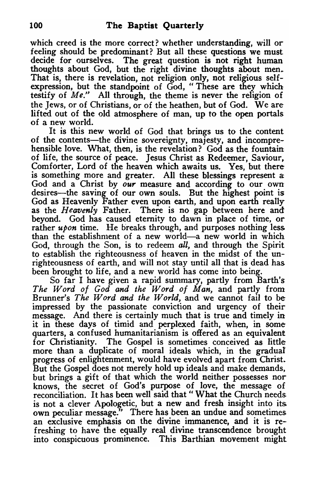which creed is the more correct? whether understanding, will or feeling should be predominant? But all these questions we must decide for ourselves. The great question is not right human thoughts about God, but the right divine thoughts about men. That is, there is revelation, not religion only, not religious selfexpression, but the standpoint of God, "These are they which testify of Me." All through, the theme is never the religion of the Jews, or of Christians, or of the heathen, but of God. We arelifted out of the old atmosphere of man, up to the open portals of a new world.

It is this new world of God that brings us to the content of the contents—the divine sovereignty, majesty, and incomprehensible love. What, then, is the revelation? God as the fountain of life, the source of peace. Jesus Christ as Redeemer, Saviour, Comforter, Lord of the heaven which awaits us. Yes, but there is something more and greater. All these blessings represent a: God and a Christ by our measure and according to our own desires-the saving of our own souls. But the highest point is God as Heavenly Father even upon earth, and upon earth really as the *Heavenly* Father. There is no gap between here and beyond. God has caused eternity to dawn in place of time, or rather *upon* time. He breaks through, and purposes nothing less. than the establishment of a new world-a new world in which God, through the Son, is to redeem *all,* and through the Spirit to establish the righteousness of heaven in the midst of the unrighteousness of earth, and will not stay until all that is dead has been brought to life, and a new world has come into being.

So far I have given a rapid summary, partly from Barth's *The Word of God and the Word of M an,* and partly from Brunner's *The Word and the World,* and we cannot fail to be impressed by the passionate conviction and urgency of their message. And there is certainly much that is true and timely in: it in these days of timid and perplexed faith, when, in some quarters, a confused humanitarianism is offered as an equivalent for Christianity. The Gospel is sometimes conceived as little more than a duplicate of moral ideals which, in the gradual progress of enlightenment, would have evolved apart from Christ. But the Gospel does not merely hold up ideals and make demands, but brings a gift of that which the world neither possesses nor knows, the secret of God's purpose of love, the message of reconciliation. It has been well said that " What the Church needs is not a clever Apologetic, but a new and fresh insight into its own peculiar message." There has been an undue and sometimes an exclusive emphasis on the divine immanence, and it is refreshing to have the equally real divine transcendence brought into conspicuous prominence. This Barthian movement might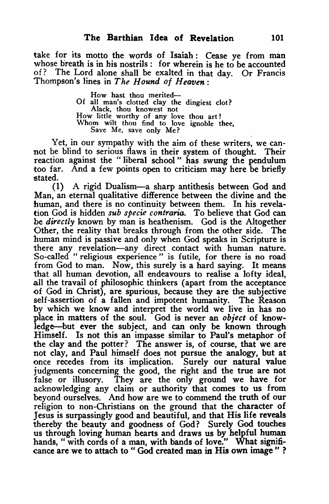take for its motto the words of Isaiah: Cease ye from man whose breath is in his nostrils: for wherein is he to be accounted of? The Lord alone shall be exalted in that day. Or Francis Thompson's lines in *The Hound of Heaven:* 

> How hast thou merited-Of all man's clotted clay the dingiest clot? Alack, thou knowest not How little worthy of any love thou art! Whom wilt thou find to love ignoble thee, Save Me, save only Me?

Yet, in our sympathy with the aim of these writers, we cannot be blind to serious flaws in their system of thought. Their reaction against the" liberal school" has swung the pendulum too far. And a few points open to criticism may here be briefly stated.

(1) A rigid Dualism-a sharp antithesis between God and Man, an eternal qualitative difference between the divine and the human, and there is no continuity between them. In his revelation God is hidden *sub specie contraria.* To believe that God can be *directly* known by man is heathenism. God is the Altogether Other, the reality that breaks through from the other side. The human mind is passive and only when God speaks in Scripture is there any revelation-any direct contact with human nature. So-called "religious experience" is futile, for there is no road from God to man. Now, this surely is a hard saying. It means that all human devotion, all endeavours to realise a lofty ideal, all the travail of philosophic thinkers (apart from the acceptance ()f God in Christ), are spurious, because they are the subjective self-assertion of a fallen and impotent humanity. The Reason by which we know and interpret the world we live in has no place in matters of the soul. God is never an *object* of knowledge-but ever the subject, and can only be known through Himself. Is not this an impasse similar to Paul's metaphor of the clay and the potter? The answer is, of course, that we are not clay, and Paul himself does not pursue the analogy, but at once recedes from its implication. Surely our natural value judgments concerning the good, the right and the true are not false or illusory. They are the only ground we have for acknowledging any claim or authority that comes to us from beyond ourselves. And how are we to commend the truth of our religion to non-Christians on the ground that the character of Jesus is surpassingly good and beautiful, and that His life reveals thereby the beauty and goodness of God? Surely God touches us through loving human hearts and draws us by helpful human hands, " with cords of a man, with bands of love." What significance are we to attach to " God created man in His own image" ?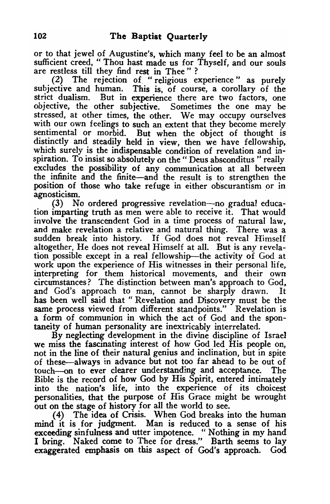or to that jewel of Augustine's, which many feel to be an almost sufficient creed, " Thou hast made us for Thyself, and our souls are restless till they find rest in Thee" ?

(2) The rejection of "religious experience" as purely subjective and human. This is, of course, a corollary of the strict dualism. But in experience there are two factors, one objective, the other subjective. Sometimes the one may be stressed, at other times, the other. We may occupy ourselves with our own feelings to such an extent that they become merely sentimental or morbid. But when the object of thought is distinctly and steadily held in view, then we have fellowship, which surely is the indispensable condition of revelation and inspiration. To insist so absolutely on the " Deus absconditus " really excludes the possibility of any communication at all between the infinite and the finite-and the result is to strengthen the position of those who take refuge in either obscurantism or in agnosticism.

(3) No ordered progressive revelation-no gradual education imparting truth as men were able to receive it. That would involve the transcendent God in a time process of natural law, and make revelation a relative and natural thing. There was a sudden break into history. If God does not reveal Himself altogether, He does not reveal Himself at all. But is any revelation possible except in a real fellowship-the activity of God at work upon the experience of His witnesses in their personal life, interpreting for them historical movements, and their own circumstances? The distinction between man's approach to God, and God's approach to man, cannot be sharply drawn. has been well said that "Revelation and Discovery must be the same process viewed from different standpoints." Revelation is a form of communion in which the act of God and the spontaneity of human personality are inextricably interrelated.

By neglecting development in the divine discipline of Israel we miss the fascinating interest of how God led His people on, not in the line of their natural genius and inclination, but in spite of these-always in advance but not too far ahead to be out of touch-on to ever clearer understanding and acceptance. The Bible is the record of how God by His Spirit, entered intimately into the nation's life, into the experience of its choicest personalities, that the purpose of His Grace might be wrought out on the stage of history for all the world to see.

(4) The idea of Crisis. When God breaks into the human mind it is for judgment. Man is reduced to a sense of his mut it is for judgment. Their is reduced to a sense of ms<br>xceeding sinfulness and utter impotence. "Nothing in my hand Acceding simulates and after importance. To similar in my name exaggerated emphasis on this aspect of God's approach. God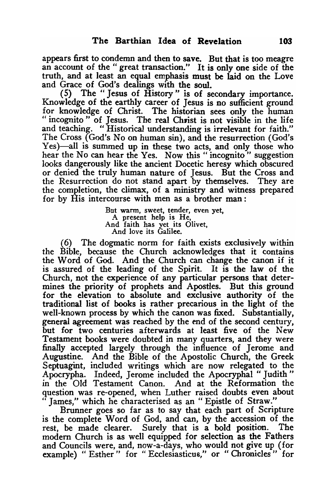appears first to condemn and then to save. But that is too meagre an account of the " great transaction." It is only one side of the truth, and at least an equal emphasis must be laid on the Love and Grace of God's dealings with the soul.

(5) The" Jesus of History" is of secondary importance. Knowledge of the earthly career of Jesus is no sufficient ground for knowledge of Christ. The historian sees only the human 'incognito" of Jesus. The real Christ is not visible in the life and teaching. "Historical understanding is irrelevant for faith." The Cross (God's No on human sin), and the resurrection (God's Yes)-all is summed up in these two acts, and only those who hear the No can hear the Yes. Now this "incognito" suggestion looks dangerously like the ancient Docetic heresy which obscured or denied the truly human nature of Jesus. But the Cross and the Resurrection do not stand apart by themselves. They are the completion, the climax, of a ministry and witness prepared for by His intercourse with men as a brother man:

> But warm, sweet, tender, even yet, A present help is He, And faith has yet its Olivet, And love its Galilee.

(6) The dogmatic norm for faith exists exclusively within the Bible, because the Church acknowledges that it contains the Word of God. And the Church can change the canon if it is assured of the leading of the Spirit. It is the law of the Church, not the experience of any particular persons that determines the priority of prophets and Apostles. But this ground for the elevation to absolute and exclusive authority of the traditional list of books is rather precarious in the light of the well-known process by which the canon was fixed. Substantially, general agreement was reached by the end of the second century, but for two centuries afterwards at least five of the New Testament books were doubted in many quarters, and they were finally accepted largely through the influence of Jerome and Augustine. And the Bible of the Apostolic Church, the Greek Septuagint, included writings which are now relegated to the Apocrypha. Indeed, Jerome included the Apocryphal " Judith" in the Old Testament Canon. And at the Reformation the question was re-opened, when Luther raised doubts even about " James," which he characterised as an "Epistle of Straw."

Brunner goes so far as to say that each part of Scripture is the complete Word of God, and can, by the accession of the rest, be made clearer. Surely that is a bold position. The modem Church is as well equipped for selection as the Fathers and Councils were, and, now-a-days, who would not give up (for example) "Esther" for "Ecclesiasticus," or "Chronicles" for